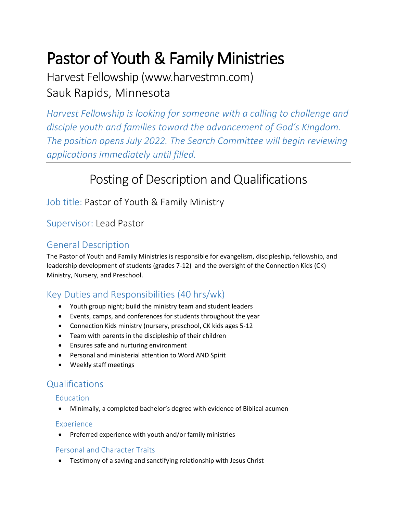# Pastor of Youth & Family Ministries

Harvest Fellowship (www.harvestmn.com) Sauk Rapids, Minnesota

*Harvest Fellowship is looking for someone with a calling to challenge and disciple youth and families toward the advancement of God's Kingdom. The position opens July 2022. The Search Committee will begin reviewing applications immediately until filled.*

## Posting of Description and Qualifications

Job title: Pastor of Youth & Family Ministry

## Supervisor: Lead Pastor

## General Description

The Pastor of Youth and Family Ministries is responsible for evangelism, discipleship, fellowship, and leadership development of students (grades 7-12) and the oversight of the Connection Kids (CK) Ministry, Nursery, and Preschool.

## Key Duties and Responsibilities (40 hrs/wk)

- Youth group night; build the ministry team and student leaders
- Events, camps, and conferences for students throughout the year
- Connection Kids ministry (nursery, preschool, CK kids ages 5-12
- Team with parents in the discipleship of their children
- Ensures safe and nurturing environment
- Personal and ministerial attention to Word AND Spirit
- Weekly staff meetings

## Qualifications

#### **Education**

Minimally, a completed bachelor's degree with evidence of Biblical acumen

#### Experience

• Preferred experience with youth and/or family ministries

#### Personal and Character Traits

Testimony of a saving and sanctifying relationship with Jesus Christ